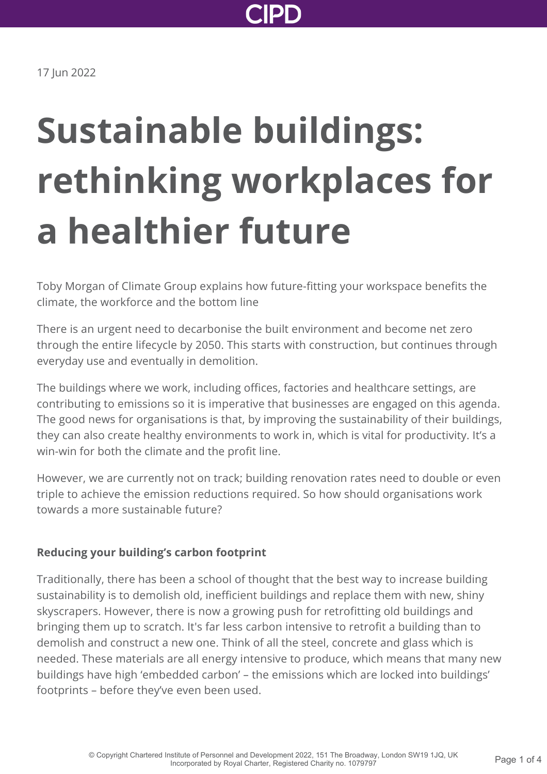

17 Jun 2022

# **Sustainable buildings: rethinking workplaces for a healthier future**

Toby Morgan of Climate Group explains how future-fitting your workspace benefits the climate, the workforce and the bottom line

There is an urgent need to decarbonise the built environment and become net zero through the entire lifecycle by 2050. This starts with construction, but continues through everyday use and eventually in demolition.

The buildings where we work, including offices, factories and healthcare settings, are contributing to emissions so it is imperative that businesses are engaged on this agenda. The good news for organisations is that, by improving the sustainability of their buildings, they can also create healthy environments to work in, which is vital for productivity. It's a win-win for both the climate and the profit line.

However, we are currently not on track; building renovation rates need to double or even triple to achieve the emission reductions required. So how should organisations work towards a more sustainable future?

## **Reducing your building's carbon footprint**

Traditionally, there has been a school of thought that the best way to increase building sustainability is to demolish old, inefficient buildings and replace them with new, shiny skyscrapers. However, there is now a growing push for retrofitting old buildings and bringing them up to scratch. It's far less carbon intensive to retrofit a building than to demolish and construct a new one. Think of all the steel, concrete and glass which is needed. These materials are all energy intensive to produce, which means that many new buildings have high 'embedded carbon' – the emissions which are locked into buildings' footprints – before they've even been used.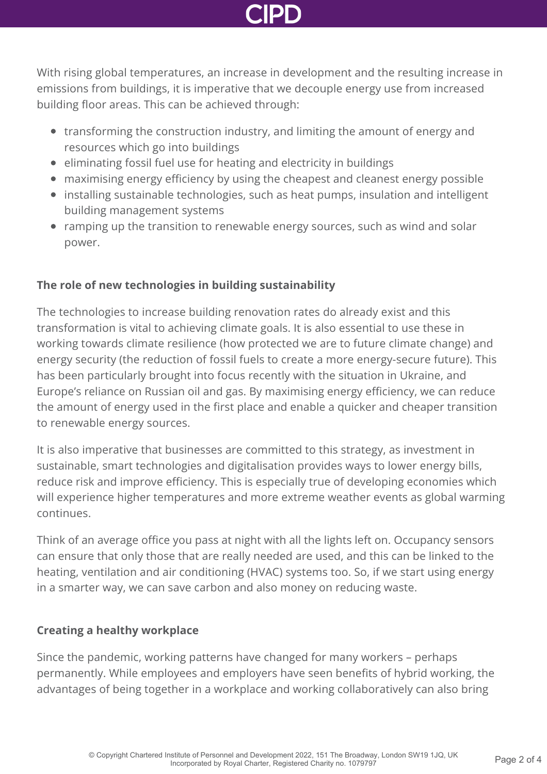With rising global temperatures, an increase in development and the resulting increase in emissions from buildings, it is imperative that we decouple energy use from increased building floor areas. This can be achieved through:

- transforming the construction industry, and limiting the amount of energy and resources which go into buildings
- eliminating fossil fuel use for heating and electricity in buildings
- maximising energy efficiency by using the cheapest and cleanest energy possible
- installing sustainable technologies, such as heat pumps, insulation and intelligent building management systems
- ramping up the transition to renewable energy sources, such as wind and solar power.

# **The role of new technologies in building sustainability**

The technologies to increase building renovation rates do already exist and this transformation is vital to achieving climate goals. It is also essential to use these in working towards climate resilience (how protected we are to future climate change) and energy security (the reduction of fossil fuels to create a more energy-secure future). This has been particularly brought into focus recently with the situation in Ukraine, and Europe's reliance on Russian oil and gas. By maximising energy efficiency, we can reduce the amount of energy used in the first place and enable a quicker and cheaper transition to renewable energy sources.

It is also imperative that businesses are committed to this strategy, as investment in sustainable, smart technologies and digitalisation provides ways to lower energy bills, reduce risk and improve efficiency. This is especially true of developing economies which will experience higher temperatures and more extreme weather events as global warming continues.

Think of an average office you pass at night with all the lights left on. Occupancy sensors can ensure that only those that are really needed are used, and this can be linked to the heating, ventilation and air conditioning (HVAC) systems too. So, if we start using energy in a smarter way, we can save carbon and also money on reducing waste.

# **Creating a healthy workplace**

Since the pandemic, working patterns have changed for many workers – perhaps permanently. While employees and employers have seen benefits of hybrid working, the advantages of being together in a workplace and working collaboratively can also bring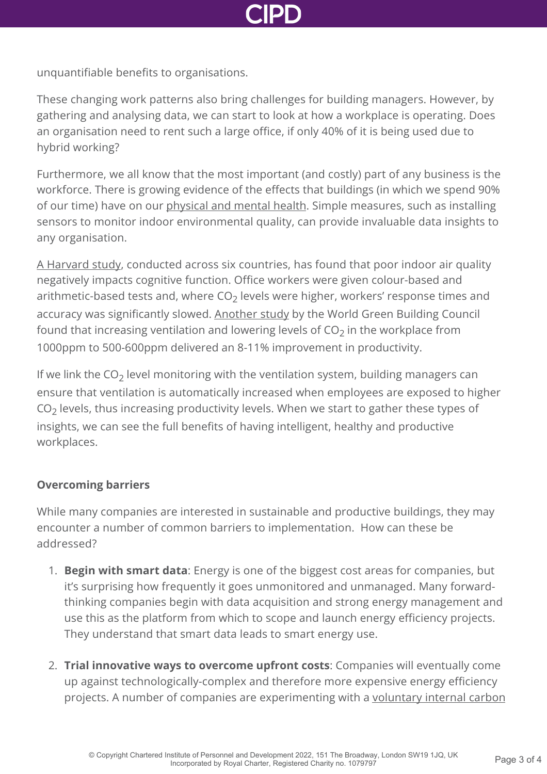

unquantifiable benefits to organisations.

These changing work patterns also bring challenges for building managers. However, by gathering and analysing data, we can start to look at how a workplace is operating. Does an organisation need to rent such a large office, if only 40% of it is being used due to hybrid working?

Furthermore, we all know that the most important (and costly) part of any business is the workforce. There is growing evidence of the effects that buildings (in which we spend 90% of our time) have on our [physical and mental health](https://www.worldgbc.org/better-places-people/green-healthy-work-spaces). Simple measures, such as installing sensors to monitor indoor environmental quality, can provide invaluable data insights to any organisation.

[A Harvard study,](https://www.hsph.harvard.edu/news/press-releases/office-air-quality-may-affect-employees-cognition-productivity/) conducted across six countries, has found that poor indoor air quality negatively impacts cognitive function. Office workers were given colour-based and arithmetic-based tests and, where CO $_2$  levels were higher, workers' response times and accuracy was significantly slowed. [Another study](https://www.worldgbc.org/sites/default/files/compressed_WorldGBC_Health_Wellbeing__Productivity_Full_Report_Dbl_Med_Res_Feb_2015.pdf) by the World Green Building Council found that increasing ventilation and lowering levels of CO<sub>2</sub> in the workplace from 1000ppm to 500-600ppm delivered an 8-11% improvement in productivity.

If we link the CO<sub>2</sub> level monitoring with the ventilation system, building managers can ensure that ventilation is automatically increased when employees are exposed to higher  $\mathsf{CO}_2$  levels, thus increasing productivity levels. When we start to gather these types of insights, we can see the full benefits of having intelligent, healthy and productive workplaces.

## **Overcoming barriers**

While many companies are interested in sustainable and productive buildings, they may encounter a number of common barriers to implementation. How can these be addressed?

- 1. **Begin with smart data**: Energy is one of the biggest cost areas for companies, but it's surprising how frequently it goes unmonitored and unmanaged. Many forwardthinking companies begin with data acquisition and strong energy management and use this as the platform from which to scope and launch energy efficiency projects. They understand that smart data leads to smart energy use.
- 2. **Trial innovative ways to overcome upfront costs**: Companies will eventually come up against technologically-complex and therefore more expensive energy efficiency [projects. A number of companies are experimenting with a voluntary internal carbon](https://www.mckinsey.com/business-functions/strategy-and-corporate-finance/our-insights/the-state-of-internal-carbon-pricing)